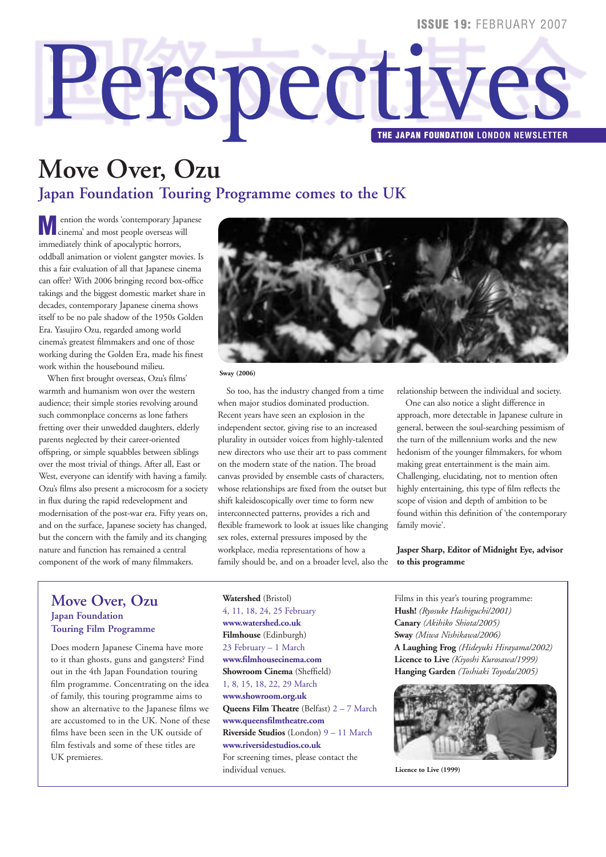#### **ISSUE 19: FEBRUARY 2007**

# **Perspectives**

# **Move Over, Ozu Japan Foundation Touring Programme comes to the UK**

**M**ention the words 'contemporary Japanese<br>
cinema' and most people overseas will immediately think of apocalyptic horrors, oddball animation or violent gangster movies. Is this a fair evaluation of all that Japanese cinema can offer? With 2006 bringing record box-office takings and the biggest domestic market share in decades, contemporary Japanese cinema shows itself to be no pale shadow of the 1950s Golden Era. Yasujiro Ozu, regarded among world cinema's greatest filmmakers and one of those working during the Golden Era, made his finest work within the housebound milieu.

When first brought overseas, Ozu's films' warmth and humanism won over the western audience; their simple stories revolving around such commonplace concerns as lone fathers fretting over their unwedded daughters, elderly parents neglected by their career-oriented offspring, or simple squabbles between siblings over the most trivial of things. After all, East or West, everyone can identify with having a family. Ozu's films also present a microcosm for a society in flux during the rapid redevelopment and modernisation of the post-war era. Fifty years on, and on the surface, Japanese society has changed, but the concern with the family and its changing nature and function has remained a central component of the work of many filmmakers.



**Sway (2006)**

So too, has the industry changed from a time when major studios dominated production. Recent years have seen an explosion in the independent sector, giving rise to an increased plurality in outsider voices from highly-talented new directors who use their art to pass comment on the modern state of the nation. The broad canvas provided by ensemble casts of characters, whose relationships are fixed from the outset but shift kaleidoscopically over time to form new interconnected patterns, provides a rich and flexible framework to look at issues like changing sex roles, external pressures imposed by the workplace, media representations of how a family should be, and on a broader level, also the relationship between the individual and society.

One can also notice a slight difference in approach, more detectable in Japanese culture in general, between the soul-searching pessimism of the turn of the millennium works and the new hedonism of the younger filmmakers, for whom making great entertainment is the main aim. Challenging, elucidating, not to mention often highly entertaining, this type of film reflects the scope of vision and depth of ambition to be found within this definition of 'the contemporary family movie'.

**Jasper Sharp, Editor of Midnight Eye, advisor to this programme**

#### **Move Over, Ozu Japan Foundation Touring Film Programme**

Does modern Japanese Cinema have more to it than ghosts, guns and gangsters? Find out in the 4th Japan Foundation touring film programme. Concentrating on the idea of family, this touring programme aims to show an alternative to the Japanese films we are accustomed to in the UK. None of these films have been seen in the UK outside of film festivals and some of these titles are UK premieres.

**Watershed** (Bristol) 4, 11, 18, 24, 25 February **www.watershed.co.uk Filmhouse** (Edinburgh) 23 February – 1 March **www.filmhousecinema.com Showroom Cinema** (Sheffield) 1, 8, 15, 18, 22, 29 March **www.showroom.org.uk Queens Film Theatre** (Belfast) 2 – 7 March **www.queensfilmtheatre.com Riverside Studios** (London) 9 – 11 March **www.riversidestudios.co.uk**  For screening times, please contact the individual venues.

Films in this year's touring programme: **Hush!** *(Ryosuke Hashiguchi/2001)* **Canary** *(Akihiko Shiota/2005)*  **Sway** *(Miwa Nishikawa/2006)* **A Laughing Frog** *(Hideyuki Hirayama/2002)* **Licence to Live** *(Kiyoshi Kurosawa/1999)*  **Hanging Garden** *(Toshiaki Toyoda/2005)* 



**Licence to Live (1999)**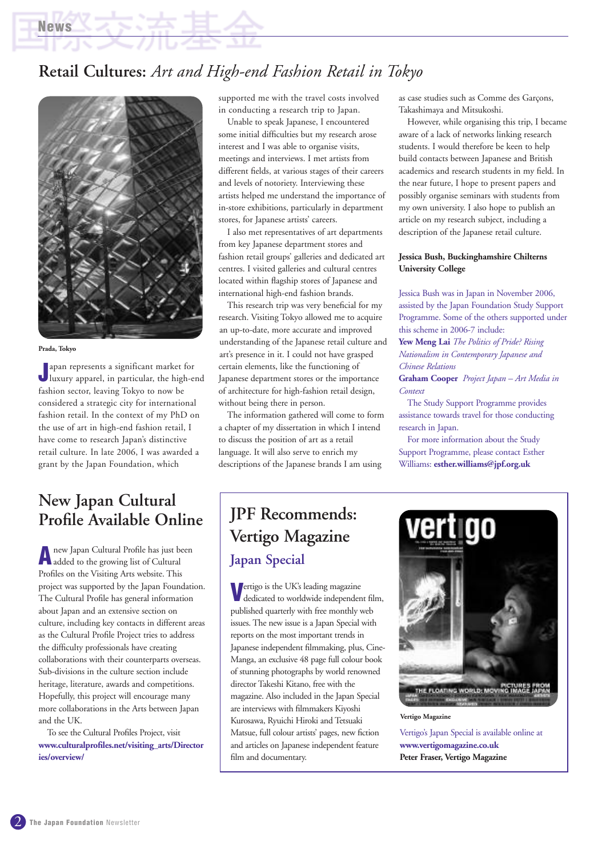## **Retail Cultures:** *Art and High-end Fashion Retail in Tokyo*



#### **Prada, Tokyo**

**News**

**J** apan represents a significant market for<br>Juxury apparel, in particular, the high-end apan represents a significant market for fashion sector, leaving Tokyo to now be considered a strategic city for international fashion retail. In the context of my PhD on the use of art in high-end fashion retail, I have come to research Japan's distinctive retail culture. In late 2006, I was awarded a grant by the Japan Foundation, which

## **New Japan Cultural Profile Available Online**

**A**new Japan Cultural Profile has just been added to the growing list of Cultural Profiles on the Visiting Arts website. This project was supported by the Japan Foundation. The Cultural Profile has general information about Japan and an extensive section on culture, including key contacts in different areas as the Cultural Profile Project tries to address the difficulty professionals have creating collaborations with their counterparts overseas. Sub-divisions in the culture section include heritage, literature, awards and competitions. Hopefully, this project will encourage many more collaborations in the Arts between Japan and the UK.

To see the Cultural Profiles Project, visit **www.culturalprofiles.net/visiting\_arts/Director ies/overview/**

supported me with the travel costs involved in conducting a research trip to Japan.

Unable to speak Japanese, I encountered some initial difficulties but my research arose interest and I was able to organise visits, meetings and interviews. I met artists from different fields, at various stages of their careers and levels of notoriety. Interviewing these artists helped me understand the importance of in-store exhibitions, particularly in department stores, for Japanese artists' careers.

I also met representatives of art departments from key Japanese department stores and fashion retail groups' galleries and dedicated art centres. I visited galleries and cultural centres located within flagship stores of Japanese and international high-end fashion brands.

This research trip was very beneficial for my research. Visiting Tokyo allowed me to acquire an up-to-date, more accurate and improved understanding of the Japanese retail culture and art's presence in it. I could not have grasped certain elements, like the functioning of Japanese department stores or the importance of architecture for high-fashion retail design, without being there in person.

The information gathered will come to form a chapter of my dissertation in which I intend to discuss the position of art as a retail language. It will also serve to enrich my descriptions of the Japanese brands I am using

as case studies such as Comme des Garçons, Takashimaya and Mitsukoshi.

However, while organising this trip, I became aware of a lack of networks linking research students. I would therefore be keen to help build contacts between Japanese and British academics and research students in my field. In the near future, I hope to present papers and possibly organise seminars with students from my own university. I also hope to publish an article on my research subject, including a description of the Japanese retail culture.

#### **Jessica Bush, Buckinghamshire Chilterns University College**

Jessica Bush was in Japan in November 2006, assisted by the Japan Foundation Study Support Programme. Some of the others supported under this scheme in 2006-7 include:

**Yew Meng Lai** *The Politics of Pride? Rising Nationalism in Contemporary Japanese and Chinese Relations*

**Graham Cooper** *Project Japan – Art Media in Context*

The Study Support Programme provides assistance towards travel for those conducting research in Japan.

For more information about the Study Support Programme, please contact Esther Williams: **esther.williams@jpf.org.uk** 

## **JPF Recommends: Vertigo Magazine Japan Special**

**V**ertigo is the UK's leading magazine<br>dedicated to worldwide independent film, published quarterly with free monthly web issues. The new issue is a Japan Special with reports on the most important trends in Japanese independent filmmaking, plus, Cine-Manga, an exclusive 48 page full colour book of stunning photographs by world renowned director Takeshi Kitano, free with the magazine. Also included in the Japan Special are interviews with filmmakers Kiyoshi Kurosawa, Ryuichi Hiroki and Tetsuaki Matsue, full colour artists' pages, new fiction and articles on Japanese independent feature film and documentary.



**Vertigo Magazine**

Vertigo's Japan Special is available online at **www.vertigomagazine.co.uk Peter Fraser, Vertigo Magazine**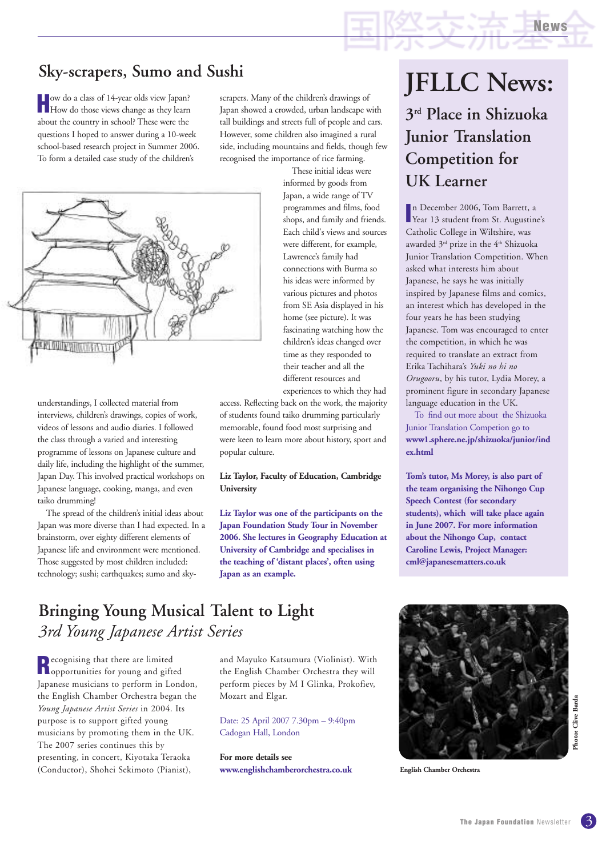## **Sky-scrapers, Sumo and Sushi**

**How do a class of 14-year olds view Japan?**<br>How do those views change as they learn about the country in school? These were the questions I hoped to answer during a 10-week school-based research project in Summer 2006. To form a detailed case study of the children's

scrapers. Many of the children's drawings of Japan showed a crowded, urban landscape with tall buildings and streets full of people and cars. However, some children also imagined a rural side, including mountains and fields, though few recognised the importance of rice farming.



understandings, I collected material from interviews, children's drawings, copies of work, videos of lessons and audio diaries. I followed the class through a varied and interesting programme of lessons on Japanese culture and daily life, including the highlight of the summer, Japan Day. This involved practical workshops on Japanese language, cooking, manga, and even taiko drumming!

The spread of the children's initial ideas about Japan was more diverse than I had expected. In a brainstorm, over eighty different elements of Japanese life and environment were mentioned. Those suggested by most children included: technology; sushi; earthquakes; sumo and sky-

These initial ideas were informed by goods from Japan, a wide range of TV programmes and films, food shops, and family and friends. Each child's views and sources were different, for example, Lawrence's family had connections with Burma so his ideas were informed by various pictures and photos from SE Asia displayed in his home (see picture). It was fascinating watching how the children's ideas changed over time as they responded to their teacher and all the different resources and experiences to which they had

access. Reflecting back on the work, the majority of students found taiko drumming particularly memorable, found food most surprising and were keen to learn more about history, sport and popular culture.

#### **Liz Taylor, Faculty of Education, Cambridge University**

**Liz Taylor was one of the participants on the Japan Foundation Study Tour in November 2006. She lectures in Geography Education at University of Cambridge and specialises in the teaching of 'distant places', often using Japan as an example.** 

# **JFLLC News: 3rd Place in Shizuoka Junior Translation Competition for**

**UK Learner**

In December 2006, Tom Barrett, a<br>
Year 13 student from St. Augustine's n December 2006, Tom Barrett, a Catholic College in Wiltshire, was awarded 3<sup>rd</sup> prize in the 4<sup>th</sup> Shizuoka Junior Translation Competition. When asked what interests him about Japanese, he says he was initially inspired by Japanese films and comics, an interest which has developed in the four years he has been studying Japanese. Tom was encouraged to enter the competition, in which he was required to translate an extract from Erika Tachihara's *Yuki no hi no Orugooru*, by his tutor, Lydia Morey, a prominent figure in secondary Japanese language education in the UK.

To find out more about the Shizuoka Junior Translation Competion go to **www1.sphere.ne.jp/shizuoka/junior/ind ex.html**

**Tom's tutor, Ms Morey, is also part of the team organising the Nihongo Cup Speech Contest (for secondary students), which will take place again in June 2007. For more information about the Nihongo Cup, contact Caroline Lewis, Project Manager: cml@japanesematters.co.uk**

## **Bringing Young Musical Talent to Light** *3rd Young Japanese Artist Series*

**Recognising that there are limited**<br>**Reportunities for young and gifted** Japanese musicians to perform in London, the English Chamber Orchestra began the *Young Japanese Artist Series* in 2004. Its purpose is to support gifted young musicians by promoting them in the UK. The 2007 series continues this by presenting, in concert, Kiyotaka Teraoka (Conductor), Shohei Sekimoto (Pianist),

and Mayuko Katsumura (Violinist). With the English Chamber Orchestra they will perform pieces by M I Glinka, Prokofiev, Mozart and Elgar.

Date: 25 April 2007 7.30pm – 9:40pm Cadogan Hall, London

**For more details see www.englishchamberorchestra.co.uk**



**English Chamber Orchestra**